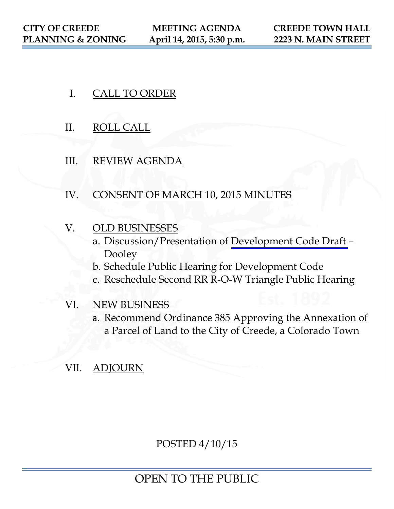- I. CALL TO ORDER
- II. ROLL CALL
- III. REVIEW AGENDA
- IV. CONSENT OF MARCH 10, 2015 MINUTES
- V. OLD BUSINESSES
	- a. Discussion/Presentation of [Development Code Draft](https://www.colorado.gov/pacific/sites/default/files/CDC%20Public%20Hearing%20Draft%20April%208%202015.pdf)  Dooley
	- b. Schedule Public Hearing for Development Code
	- c. Reschedule Second RR R-O-W Triangle Public Hearing
- VI. NEW BUSINESS
	- a. Recommend Ordinance 385 Approving the Annexation of a Parcel of Land to the City of Creede, a Colorado Town
- VII. ADJOURN

POSTED 4/10/15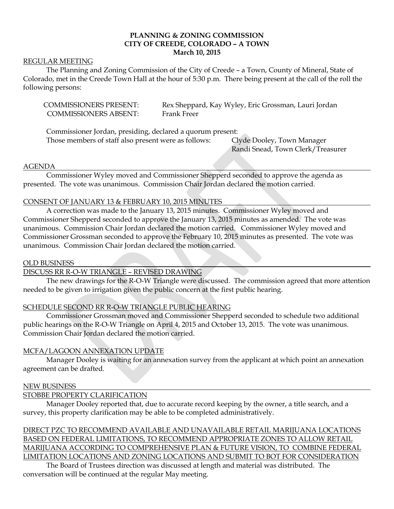### **PLANNING & ZONING COMMISSION CITY OF CREEDE, COLORADO – A TOWN March 10, 2015**

#### REGULAR MEETING

The Planning and Zoning Commission of the City of Creede – a Town, County of Mineral, State of Colorado, met in the Creede Town Hall at the hour of 5:30 p.m. There being present at the call of the roll the following persons:

| <b>COMMISSIONERS PRESENT:</b> | Rex Sheppard, Kay Wyley, Eric Grossman, Lauri Jordan |
|-------------------------------|------------------------------------------------------|
| <b>COMMISSIONERS ABSENT:</b>  | Frank Freer                                          |

Commissioner Jordan, presiding, declared a quorum present: Those members of staff also present were as follows: Clyde Dooley, Town Manager

Randi Snead, Town Clerk/Treasurer

#### AGENDA

Commissioner Wyley moved and Commissioner Shepperd seconded to approve the agenda as presented. The vote was unanimous. Commission Chair Jordan declared the motion carried.

#### CONSENT OF JANUARY 13 & FEBRUARY 10, 2015 MINUTES

A correction was made to the January 13, 2015 minutes. Commissioner Wyley moved and Commissioner Shepperd seconded to approve the January 13, 2015 minutes as amended. The vote was unanimous. Commission Chair Jordan declared the motion carried. Commissioner Wyley moved and Commissioner Grossman seconded to approve the February 10, 2015 minutes as presented. The vote was unanimous. Commission Chair Jordan declared the motion carried.

#### OLD BUSINESS

#### DISCUSS RR R-O-W TRIANGLE – REVISED DRAWING

The new drawings for the R-O-W Triangle were discussed. The commission agreed that more attention needed to be given to irrigation given the public concern at the first public hearing.

#### SCHEDULE SECOND RR R-O-W TRIANGLE PUBLIC HEARING

Commissioner Grossman moved and Commissioner Shepperd seconded to schedule two additional public hearings on the R-O-W Triangle on April 4, 2015 and October 13, 2015. The vote was unanimous. Commission Chair Jordan declared the motion carried.

#### MCFA/LAGOON ANNEXATION UPDATE

Manager Dooley is waiting for an annexation survey from the applicant at which point an annexation agreement can be drafted.

#### NEW BUSINESS

#### STOBBE PROPERTY CLARIFICATION

Manager Dooley reported that, due to accurate record keeping by the owner, a title search, and a survey, this property clarification may be able to be completed administratively.

## DIRECT PZC TO RECOMMEND AVAILABLE AND UNAVAILABLE RETAIL MARIJUANA LOCATIONS BASED ON FEDERAL LIMITATIONS, TO RECOMMEND APPROPRIATE ZONES TO ALLOW RETAIL MARIJUANA ACCORDING TO COMPREHENSIVE PLAN & FUTURE VISION, TO COMBINE FEDERAL LIMITATION LOCATIONS AND ZONING LOCATIONS AND SUBMIT TO BOT FOR CONSIDERATION

The Board of Trustees direction was discussed at length and material was distributed. The conversation will be continued at the regular May meeting.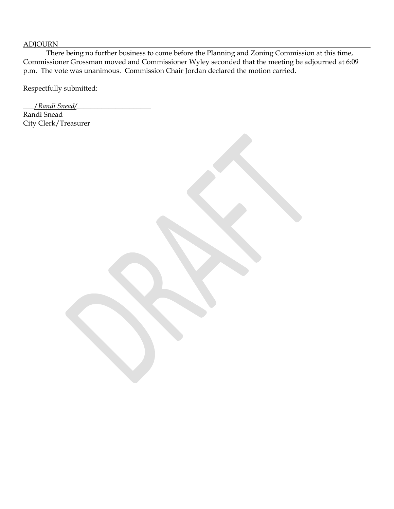#### ADJOURN

There being no further business to come before the Planning and Zoning Commission at this time, Commissioner Grossman moved and Commissioner Wyley seconded that the meeting be adjourned at 6:09 p.m. The vote was unanimous. Commission Chair Jordan declared the motion carried.

Respectfully submitted:

\_\_\_/*Randi Snead/*\_\_\_\_\_\_\_\_\_\_\_\_\_\_\_\_\_\_\_\_\_ Randi Snead City Clerk/Treasurer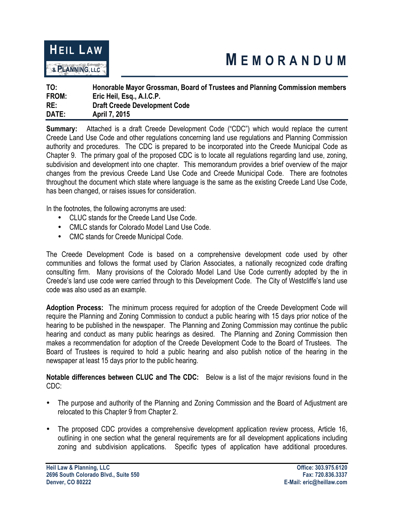

# **M EMORANDUM**

| TO:   | Honorable Mayor Grossman, Board of Trustees and Planning Commission members |
|-------|-----------------------------------------------------------------------------|
| FROM: | Eric Heil, Esq., A.I.C.P.                                                   |
| RE:   | <b>Draft Creede Development Code</b>                                        |
| DATE: | <b>April 7, 2015</b>                                                        |

**Summary:** Attached is a draft Creede Development Code ("CDC") which would replace the current Creede Land Use Code and other regulations concerning land use regulations and Planning Commission authority and procedures. The CDC is prepared to be incorporated into the Creede Municipal Code as Chapter 9. The primary goal of the proposed CDC is to locate all regulations regarding land use, zoning, subdivision and development into one chapter. This memorandum provides a brief overview of the major changes from the previous Creede Land Use Code and Creede Municipal Code. There are footnotes throughout the document which state where language is the same as the existing Creede Land Use Code, has been changed, or raises issues for consideration.

In the footnotes, the following acronyms are used:

- CLUC stands for the Creede Land Use Code.
- CMLC stands for Colorado Model Land Use Code.
- CMC stands for Creede Municipal Code.

The Creede Development Code is based on a comprehensive development code used by other communities and follows the format used by Clarion Associates, a nationally recognized code drafting consulting firm. Many provisions of the Colorado Model Land Use Code currently adopted by the in Creede's land use code were carried through to this Development Code. The City of Westcliffe's land use code was also used as an example.

**Adoption Process:** The minimum process required for adoption of the Creede Development Code will require the Planning and Zoning Commission to conduct a public hearing with 15 days prior notice of the hearing to be published in the newspaper. The Planning and Zoning Commission may continue the public hearing and conduct as many public hearings as desired. The Planning and Zoning Commission then makes a recommendation for adoption of the Creede Development Code to the Board of Trustees. The Board of Trustees is required to hold a public hearing and also publish notice of the hearing in the newspaper at least 15 days prior to the public hearing.

**Notable differences between CLUC and The CDC:** Below is a list of the major revisions found in the CDC:

- The purpose and authority of the Planning and Zoning Commission and the Board of Adjustment are relocated to this Chapter 9 from Chapter 2.
- The proposed CDC provides a comprehensive development application review process, Article 16, outlining in one section what the general requirements are for all development applications including zoning and subdivision applications. Specific types of application have additional procedures.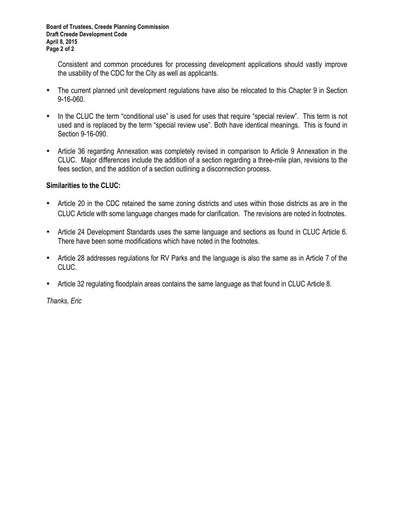Consistent and common procedures for processing development applications should vastly improve the usability of the CDC for the City as well as applicants.

- The current planned unit development regulations have also be relocated to this Chapter 9 in Section 9-16-060.
- In the CLUC the term "conditional use" is used for uses that require "special review". This term is not used and is replaced by the term "special review use". Both have identical meanings. This is found in Section 9-16-090.
- Article 36 regarding Annexation was completely revised in comparison to Article 9 Annexation in the CLUC. Major differences include the addition of a section regarding a three-mile plan, revisions to the fees section, and the addition of a section outlining a disconnection process.

# **Similarities to the CLUC:**

- Article 20 in the CDC retained the same zoning districts and uses within those districts as are in the CLUC Article with some language changes made for clarification. The revisions are noted in footnotes.
- Article 24 Development Standards uses the same language and sections as found in CLUC Article 6. There have been some modifications which have noted in the footnotes.
- Article 28 addresses regulations for RV Parks and the language is also the same as in Article 7 of the CLUC.
- Article 32 regulating floodplain areas contains the same language as that found in CLUC Article 8.

*Thanks, Eric*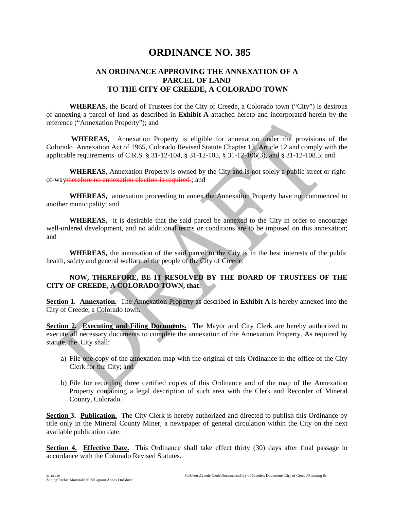# **ORDINANCE NO. 385**

## **AN ORDINANCE APPROVING THE ANNEXATION OF A PARCEL OF LAND TO THE CITY OF CREEDE, A COLORADO TOWN**

**WHEREAS**, the Board of Trustees for the City of Creede, a Colorado town ("City") is desirous of annexing a parcel of land as described in **Exhibit A** attached hereto and incorporated herein by the reference ("Annexation Property"); and

**WHEREAS,** Annexation Property is eligible for annexation under the provisions of the Colorado Annexation Act of 1965, Colorado Revised Statute Chapter 13, Article 12 and comply with the applicable requirements of C.R.S. § 31-12-104, § 31-12-105, § 31-12-106(3), and § 31-12-108.5; and

**WHEREAS**, Annexation Property is owned by the City and is not solely a public street or rightof-waytherefore no annexation election is required ; and

**WHEREAS,** annexation proceeding to annex the Annexation Property have not commenced to another municipality; and

**WHEREAS,** it is desirable that the said parcel be annexed to the City in order to encourage well-ordered development, and no additional terms or conditions are to be imposed on this annexation; and

**WHEREAS,** the annexation of the said parcel to the City is in the best interests of the public health, safety and general welfare of the people of the City of Creede.

#### **NOW, THEREFORE, BE IT RESOLVED BY THE BOARD OF TRUSTEES OF THE CITY OF CREEDE, A COLORADO TOWN, that:**

**Section 1**. **Annexation.** The Annexation Property as described in **Exhibit A** is hereby annexed into the City of Creede, a Colorado town.

**Section 2. Executing and Filing Documents.** The Mayor and City Clerk are hereby authorized to execute all necessary documents to complete the annexation of the Annexation Property. As required by statute, the City shall:

- a) File one copy of the annexation map with the original of this Ordinance in the office of the City Clerk for the City; and
- b) File for recording three certified copies of this Ordinance and of the map of the Annexation Property containing a legal description of such area with the Clerk and Recorder of Mineral County, Colorado.

**Section 3. Publication.** The City Clerk is hereby authorized and directed to publish this Ordinance by title only in the Mineral County Miner, a newspaper of general circulation within the City on the next available publication date.

**Section 4. Effective Date.** This Ordinance shall take effect thirty (30) days after final passage in accordance with the Colorado Revised Statutes.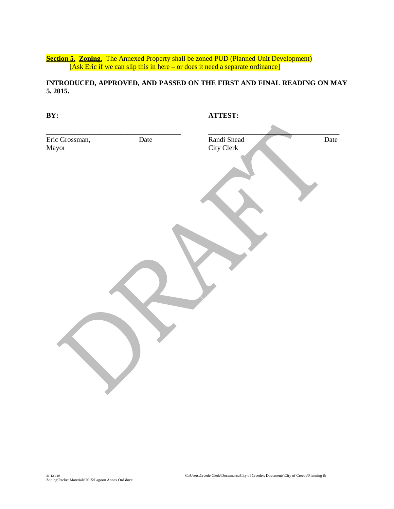**Section 5. Zoning.** The Annexed Property shall be zoned PUD (Planned Unit Development) [Ask Eric if we can slip this in here – or does it need a separate ordinance]

**INTRODUCED, APPROVED, AND PASSED ON THE FIRST AND FINAL READING ON MAY 5, 2015.**

| BY:                     |      | ATTEST:                   |      |
|-------------------------|------|---------------------------|------|
| Eric Grossman,<br>Mayor | Date | Randi Snead<br>City Clerk | Date |
|                         |      |                           |      |
|                         |      |                           |      |
|                         |      |                           |      |
|                         |      |                           |      |
|                         |      |                           |      |
|                         |      |                           |      |
|                         |      |                           |      |
|                         |      |                           |      |